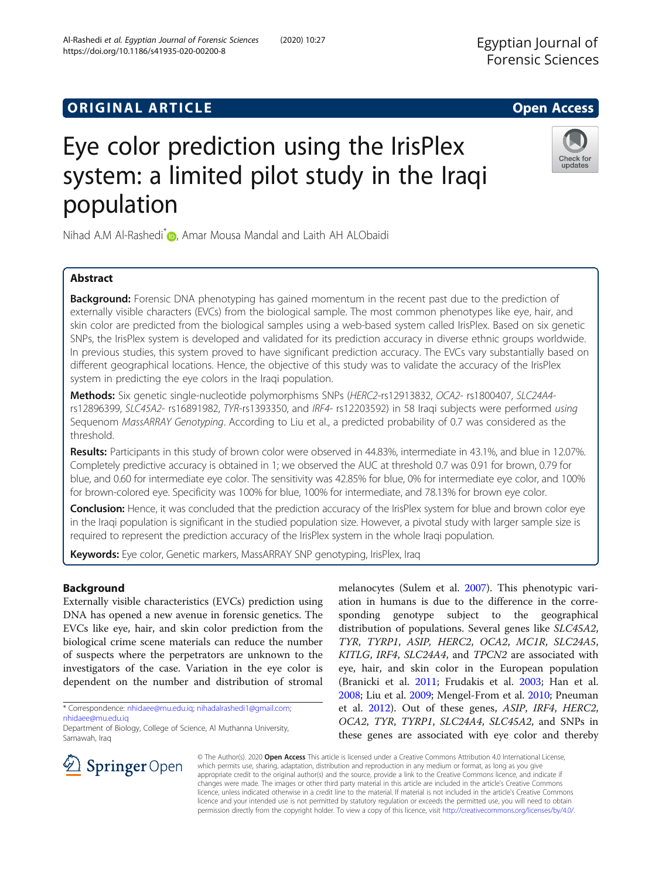## **ORIGINAL ARTICLE CONSERVANCE IN A LOCAL CONSERVANCE IN A LOCAL CONSERVANCE IN A LOCAL CONSERVANCE IN A LOCAL CONS**

# Eye color prediction using the IrisPlex system: a limited pilot study in the Iraqi population

Nihad A.M Al-Rashedi<sup>\*</sup> [,](http://orcid.org/0000-0002-3480-343X) Amar Mousa Mandal and Laith AH ALObaidi

## Abstract

**Background:** Forensic DNA phenotyping has gained momentum in the recent past due to the prediction of externally visible characters (EVCs) from the biological sample. The most common phenotypes like eye, hair, and skin color are predicted from the biological samples using a web-based system called IrisPlex. Based on six genetic SNPs, the IrisPlex system is developed and validated for its prediction accuracy in diverse ethnic groups worldwide. In previous studies, this system proved to have significant prediction accuracy. The EVCs vary substantially based on different geographical locations. Hence, the objective of this study was to validate the accuracy of the IrisPlex system in predicting the eye colors in the Iraqi population.

Methods: Six genetic single-nucleotide polymorphisms SNPs (HERC2-rs12913832, OCA2-rs1800407, SLC24A4rs12896399, SLC45A2- rs16891982, TYR-rs1393350, and IRF4- rs12203592) in 58 Iraqi subjects were performed using Sequenom MassARRAY Genotyping. According to Liu et al., a predicted probability of 0.7 was considered as the threshold.

Results: Participants in this study of brown color were observed in 44.83%, intermediate in 43.1%, and blue in 12.07%. Completely predictive accuracy is obtained in 1; we observed the AUC at threshold 0.7 was 0.91 for brown, 0.79 for blue, and 0.60 for intermediate eye color. The sensitivity was 42.85% for blue, 0% for intermediate eye color, and 100% for brown-colored eye. Specificity was 100% for blue, 100% for intermediate, and 78.13% for brown eye color.

Conclusion: Hence, it was concluded that the prediction accuracy of the IrisPlex system for blue and brown color eye in the Iraqi population is significant in the studied population size. However, a pivotal study with larger sample size is required to represent the prediction accuracy of the IrisPlex system in the whole Iraqi population.

Keywords: Eye color, Genetic markers, MassARRAY SNP genotyping, IrisPlex, Iraq

## Background

Externally visible characteristics (EVCs) prediction using DNA has opened a new avenue in forensic genetics. The EVCs like eye, hair, and skin color prediction from the biological crime scene materials can reduce the number of suspects where the perpetrators are unknown to the investigators of the case. Variation in the eye color is dependent on the number and distribution of stromal

\* Correspondence: [nhidaee@mu.edu.iq;](mailto:nhidaee@mu.edu.iq) [nihadalrashedi1@gmail.com;](mailto:nihadalrashedi1@gmail.com) [nhidaee@mu.edu.iq](mailto:nhidaee@mu.edu.iq)

 $\mathcal{L}$  Springer Open

melanocytes (Sulem et al. [2007\)](#page-5-0). This phenotypic variation in humans is due to the difference in the corresponding genotype subject to the geographical distribution of populations. Several genes like SLC45A2, TYR, TYRP1, ASIP, HERC2, OCA2, MC1R, SLC24A5, KITLG, IRF4, SLC24A4, and TPCN2 are associated with eye, hair, and skin color in the European population (Branicki et al. [2011](#page-5-0); Frudakis et al. [2003](#page-5-0); Han et al. [2008](#page-5-0); Liu et al. [2009](#page-5-0); Mengel-From et al. [2010;](#page-5-0) Pneuman et al. [2012](#page-5-0)). Out of these genes, ASIP, IRF4, HERC2, OCA2, TYR, TYRP1, SLC24A4, SLC45A2, and SNPs in these genes are associated with eye color and thereby

© The Author(s). 2020 Open Access This article is licensed under a Creative Commons Attribution 4.0 International License, which permits use, sharing, adaptation, distribution and reproduction in any medium or format, as long as you give appropriate credit to the original author(s) and the source, provide a link to the Creative Commons licence, and indicate if changes were made. The images or other third party material in this article are included in the article's Creative Commons licence, unless indicated otherwise in a credit line to the material. If material is not included in the article's Creative Commons licence and your intended use is not permitted by statutory regulation or exceeds the permitted use, you will need to obtain permission directly from the copyright holder. To view a copy of this licence, visit <http://creativecommons.org/licenses/by/4.0/>.





Department of Biology, College of Science, Al Muthanna University, Samawah, Iraq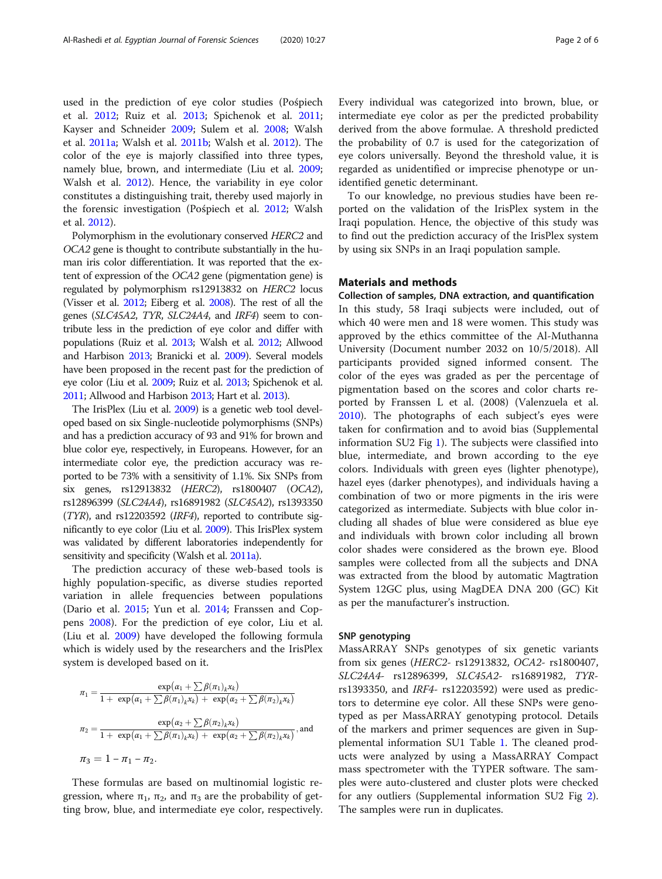used in the prediction of eye color studies (Pośpiech et al. [2012;](#page-5-0) Ruiz et al. [2013](#page-5-0); Spichenok et al. [2011](#page-5-0); Kayser and Schneider [2009;](#page-5-0) Sulem et al. [2008](#page-5-0); Walsh et al. [2011a](#page-5-0); Walsh et al. [2011b](#page-5-0); Walsh et al. [2012\)](#page-5-0). The color of the eye is majorly classified into three types, namely blue, brown, and intermediate (Liu et al. [2009](#page-5-0); Walsh et al. [2012](#page-5-0)). Hence, the variability in eye color constitutes a distinguishing trait, thereby used majorly in the forensic investigation (Pośpiech et al. [2012;](#page-5-0) Walsh et al. [2012\)](#page-5-0).

Polymorphism in the evolutionary conserved HERC2 and OCA2 gene is thought to contribute substantially in the human iris color differentiation. It was reported that the extent of expression of the OCA2 gene (pigmentation gene) is regulated by polymorphism rs12913832 on HERC2 locus (Visser et al. [2012;](#page-5-0) Eiberg et al. [2008\)](#page-5-0). The rest of all the genes (SLC45A2, TYR, SLC24A4, and IRF4) seem to contribute less in the prediction of eye color and differ with populations (Ruiz et al. [2013;](#page-5-0) Walsh et al. [2012](#page-5-0); Allwood and Harbison [2013;](#page-5-0) Branicki et al. [2009\)](#page-5-0). Several models have been proposed in the recent past for the prediction of eye color (Liu et al. [2009;](#page-5-0) Ruiz et al. [2013](#page-5-0); Spichenok et al. [2011;](#page-5-0) Allwood and Harbison [2013;](#page-5-0) Hart et al. [2013\)](#page-5-0).

The IrisPlex (Liu et al. [2009\)](#page-5-0) is a genetic web tool developed based on six Single-nucleotide polymorphisms (SNPs) and has a prediction accuracy of 93 and 91% for brown and blue color eye, respectively, in Europeans. However, for an intermediate color eye, the prediction accuracy was reported to be 73% with a sensitivity of 1.1%. Six SNPs from six genes, rs12913832 (HERC2), rs1800407 (OCA2), rs12896399 (SLC24A4), rs16891982 (SLC45A2), rs1393350 (TYR), and rs12203592 (IRF4), reported to contribute significantly to eye color (Liu et al. [2009\)](#page-5-0). This IrisPlex system was validated by different laboratories independently for sensitivity and specificity (Walsh et al. [2011a](#page-5-0)).

The prediction accuracy of these web-based tools is highly population-specific, as diverse studies reported variation in allele frequencies between populations (Dario et al. [2015;](#page-5-0) Yun et al. [2014](#page-5-0); Franssen and Coppens [2008\)](#page-5-0). For the prediction of eye color, Liu et al. (Liu et al. [2009\)](#page-5-0) have developed the following formula which is widely used by the researchers and the IrisPlex system is developed based on it.

$$
\pi_1 = \frac{\exp(\alpha_1 + \sum \beta(\pi_1)_k x_k)}{1 + \exp(\alpha_1 + \sum \beta(\pi_1)_k x_k) + \exp(\alpha_2 + \sum \beta(\pi_2)_k x_k)}
$$

$$
\pi_2 = \frac{\exp(\alpha_2 + \sum \beta(\pi_2)_k x_k)}{1 + \exp(\alpha_1 + \sum \beta(\pi_1)_k x_k) + \exp(\alpha_2 + \sum \beta(\pi_2)_k x_k)}, \text{and}
$$

$$
\pi_3 = 1 - \pi_1 - \pi_2.
$$

These formulas are based on multinomial logistic regression, where  $\pi_1$ ,  $\pi_2$ , and  $\pi_3$  are the probability of getting brow, blue, and intermediate eye color, respectively.

Every individual was categorized into brown, blue, or intermediate eye color as per the predicted probability derived from the above formulae. A threshold predicted the probability of 0.7 is used for the categorization of eye colors universally. Beyond the threshold value, it is regarded as unidentified or imprecise phenotype or unidentified genetic determinant.

To our knowledge, no previous studies have been reported on the validation of the IrisPlex system in the Iraqi population. Hence, the objective of this study was to find out the prediction accuracy of the IrisPlex system by using six SNPs in an Iraqi population sample.

## Materials and methods

Collection of samples, DNA extraction, and quantification In this study, 58 Iraqi subjects were included, out of which 40 were men and 18 were women. This study was approved by the ethics committee of the Al-Muthanna University (Document number 2032 on 10/5/2018). All participants provided signed informed consent. The color of the eyes was graded as per the percentage of pigmentation based on the scores and color charts reported by Franssen L et al. (2008) (Valenzuela et al. [2010](#page-5-0)). The photographs of each subject's eyes were taken for confirmation and to avoid bias (Supplemental information SU2 Fig [1\)](#page-4-0). The subjects were classified into blue, intermediate, and brown according to the eye colors. Individuals with green eyes (lighter phenotype), hazel eyes (darker phenotypes), and individuals having a combination of two or more pigments in the iris were categorized as intermediate. Subjects with blue color including all shades of blue were considered as blue eye and individuals with brown color including all brown color shades were considered as the brown eye. Blood samples were collected from all the subjects and DNA was extracted from the blood by automatic Magtration System 12GC plus, using MagDEA DNA 200 (GC) Kit as per the manufacturer's instruction.

#### SNP genotyping

MassARRAY SNPs genotypes of six genetic variants from six genes (HERC2- rs12913832, OCA2- rs1800407, SLC24A4- rs12896399, SLC45A2- rs16891982, TYRrs1393350, and IRF4- rs12203592) were used as predictors to determine eye color. All these SNPs were genotyped as per MassARRAY genotyping protocol. Details of the markers and primer sequences are given in Supplemental information SU1 Table [1.](#page-4-0) The cleaned products were analyzed by using a MassARRAY Compact mass spectrometer with the TYPER software. The samples were auto-clustered and cluster plots were checked for any outliers (Supplemental information SU2 Fig [2](#page-4-0)). The samples were run in duplicates.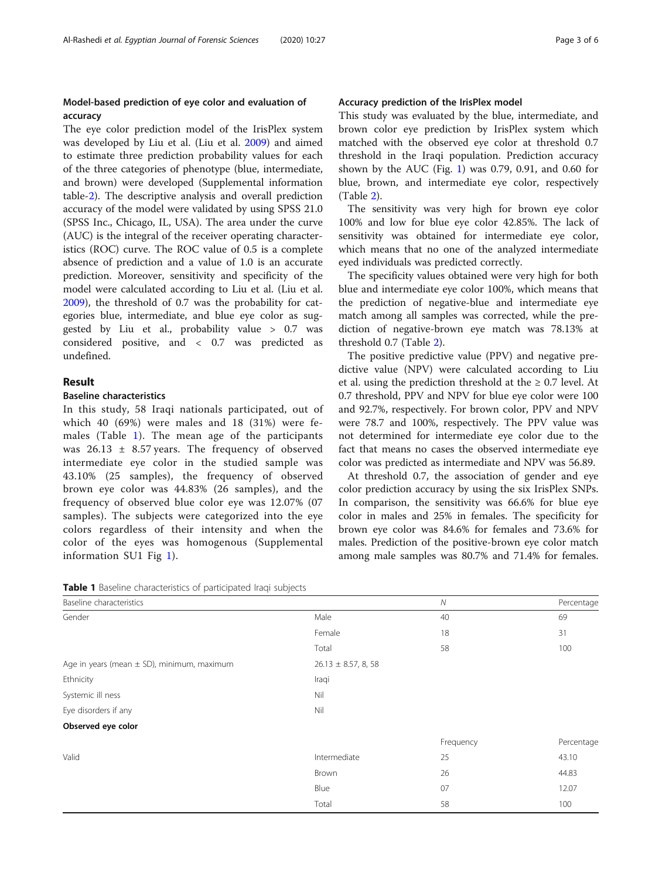## Model-based prediction of eye color and evaluation of accuracy

The eye color prediction model of the IrisPlex system was developed by Liu et al. (Liu et al. [2009\)](#page-5-0) and aimed to estimate three prediction probability values for each of the three categories of phenotype (blue, intermediate, and brown) were developed (Supplemental information table-[2\)](#page-4-0). The descriptive analysis and overall prediction accuracy of the model were validated by using SPSS 21.0 (SPSS Inc., Chicago, IL, USA). The area under the curve (AUC) is the integral of the receiver operating characteristics (ROC) curve. The ROC value of 0.5 is a complete absence of prediction and a value of 1.0 is an accurate prediction. Moreover, sensitivity and specificity of the model were calculated according to Liu et al. (Liu et al. [2009](#page-5-0)), the threshold of 0.7 was the probability for categories blue, intermediate, and blue eye color as suggested by Liu et al., probability value > 0.7 was considered positive, and < 0.7 was predicted as undefined.

## Result

#### Baseline characteristics

In this study, 58 Iraqi nationals participated, out of which 40 (69%) were males and 18 (31%) were females (Table 1). The mean age of the participants was  $26.13 \pm 8.57$  years. The frequency of observed intermediate eye color in the studied sample was 43.10% (25 samples), the frequency of observed brown eye color was 44.83% (26 samples), and the frequency of observed blue color eye was 12.07% (07 samples). The subjects were categorized into the eye colors regardless of their intensity and when the color of the eyes was homogenous (Supplemental information SU1 Fig [1\)](#page-4-0).

| Table 1 Baseline characteristics of participated Iraqi subjects |
|-----------------------------------------------------------------|
|-----------------------------------------------------------------|

## Accuracy prediction of the IrisPlex model

This study was evaluated by the blue, intermediate, and brown color eye prediction by IrisPlex system which matched with the observed eye color at threshold 0.7 threshold in the Iraqi population. Prediction accuracy shown by the AUC (Fig. [1\)](#page-3-0) was 0.79, 0.91, and 0.60 for blue, brown, and intermediate eye color, respectively (Table [2\)](#page-3-0).

The sensitivity was very high for brown eye color 100% and low for blue eye color 42.85%. The lack of sensitivity was obtained for intermediate eye color, which means that no one of the analyzed intermediate eyed individuals was predicted correctly.

The specificity values obtained were very high for both blue and intermediate eye color 100%, which means that the prediction of negative-blue and intermediate eye match among all samples was corrected, while the prediction of negative-brown eye match was 78.13% at threshold 0.7 (Table [2](#page-3-0)).

The positive predictive value (PPV) and negative predictive value (NPV) were calculated according to Liu et al. using the prediction threshold at the  $\geq 0.7$  level. At 0.7 threshold, PPV and NPV for blue eye color were 100 and 92.7%, respectively. For brown color, PPV and NPV were 78.7 and 100%, respectively. The PPV value was not determined for intermediate eye color due to the fact that means no cases the observed intermediate eye color was predicted as intermediate and NPV was 56.89.

At threshold 0.7, the association of gender and eye color prediction accuracy by using the six IrisPlex SNPs. In comparison, the sensitivity was 66.6% for blue eye color in males and 25% in females. The specificity for brown eye color was 84.6% for females and 73.6% for males. Prediction of the positive-brown eye color match among male samples was 80.7% and 71.4% for females.

| Baseline characteristics                       |                          | ${\cal N}$ | Percentage |
|------------------------------------------------|--------------------------|------------|------------|
| Gender                                         | Male                     | 40         | 69         |
|                                                | Female                   | 18         | 31         |
|                                                | Total                    | 58         | 100        |
| Age in years (mean $\pm$ SD), minimum, maximum | $26.13 \pm 8.57$ , 8, 58 |            |            |
| Ethnicity                                      | Iraqi                    |            |            |
| Systemic ill ness                              | Nil                      |            |            |
| Eye disorders if any                           | Nil                      |            |            |
| Observed eye color                             |                          |            |            |
|                                                |                          | Frequency  | Percentage |
| Valid                                          | Intermediate             | 25         | 43.10      |
|                                                | Brown                    | 26         | 44.83      |
|                                                | Blue                     | 07         | 12.07      |
|                                                | Total                    | 58         | 100        |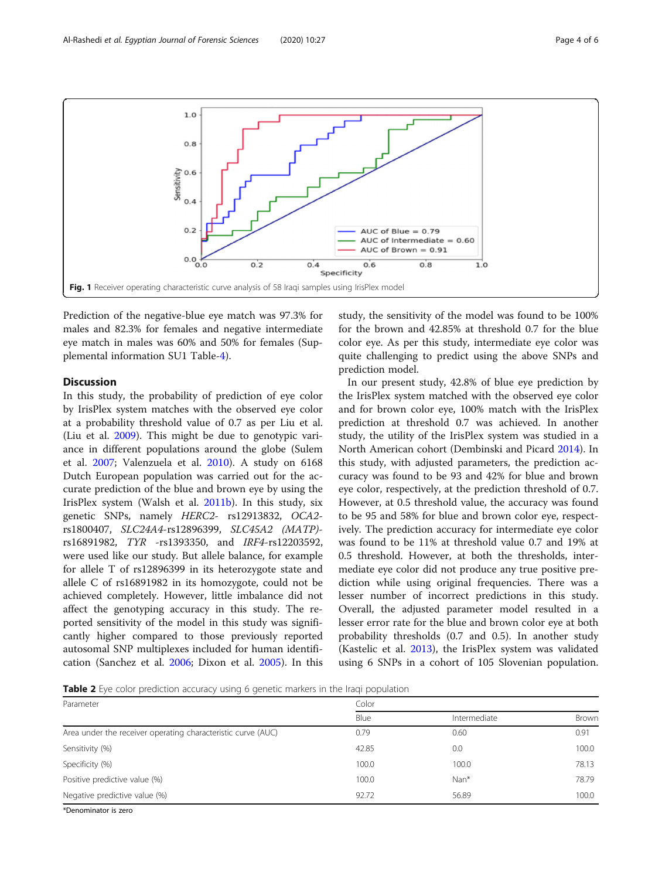<span id="page-3-0"></span>

Prediction of the negative-blue eye match was 97.3% for males and 82.3% for females and negative intermediate eye match in males was 60% and 50% for females (Supplemental information SU1 Table-[4\)](#page-4-0).

## Discussion

In this study, the probability of prediction of eye color by IrisPlex system matches with the observed eye color at a probability threshold value of 0.7 as per Liu et al. (Liu et al. [2009](#page-5-0)). This might be due to genotypic variance in different populations around the globe (Sulem et al. [2007](#page-5-0); Valenzuela et al. [2010](#page-5-0)). A study on 6168 Dutch European population was carried out for the accurate prediction of the blue and brown eye by using the IrisPlex system (Walsh et al. [2011b](#page-5-0)). In this study, six genetic SNPs, namely HERC2- rs12913832, OCA2 rs1800407, SLC24A4-rs12896399, SLC45A2 (MATP) rs16891982, TYR -rs1393350, and IRF4-rs12203592, were used like our study. But allele balance, for example for allele T of rs12896399 in its heterozygote state and allele C of rs16891982 in its homozygote, could not be achieved completely. However, little imbalance did not affect the genotyping accuracy in this study. The reported sensitivity of the model in this study was significantly higher compared to those previously reported autosomal SNP multiplexes included for human identification (Sanchez et al. [2006;](#page-5-0) Dixon et al. [2005\)](#page-5-0). In this

study, the sensitivity of the model was found to be 100% for the brown and 42.85% at threshold 0.7 for the blue color eye. As per this study, intermediate eye color was quite challenging to predict using the above SNPs and prediction model.

In our present study, 42.8% of blue eye prediction by the IrisPlex system matched with the observed eye color and for brown color eye, 100% match with the IrisPlex prediction at threshold 0.7 was achieved. In another study, the utility of the IrisPlex system was studied in a North American cohort (Dembinski and Picard [2014\)](#page-5-0). In this study, with adjusted parameters, the prediction accuracy was found to be 93 and 42% for blue and brown eye color, respectively, at the prediction threshold of 0.7. However, at 0.5 threshold value, the accuracy was found to be 95 and 58% for blue and brown color eye, respectively. The prediction accuracy for intermediate eye color was found to be 11% at threshold value 0.7 and 19% at 0.5 threshold. However, at both the thresholds, intermediate eye color did not produce any true positive prediction while using original frequencies. There was a lesser number of incorrect predictions in this study. Overall, the adjusted parameter model resulted in a lesser error rate for the blue and brown color eye at both probability thresholds (0.7 and 0.5). In another study (Kastelic et al. [2013\)](#page-5-0), the IrisPlex system was validated using 6 SNPs in a cohort of 105 Slovenian population.

Table 2 Eye color prediction accuracy using 6 genetic markers in the Iraqi population

| Parameter                                                    | Color |              |       |
|--------------------------------------------------------------|-------|--------------|-------|
|                                                              | Blue  | Intermediate | Brown |
| Area under the receiver operating characteristic curve (AUC) | 0.79  | 0.60         | 0.91  |
| Sensitivity (%)                                              | 42.85 | 0.0          | 100.0 |
| Specificity (%)                                              | 100.0 | 100.0        | 78.13 |
| Positive predictive value (%)                                | 100.0 | Nan*         | 78.79 |
| Negative predictive value (%)                                | 92.72 | 56.89        | 100.0 |
| <b>AD an analyzists to move</b>                              |       |              |       |

Denominator is zero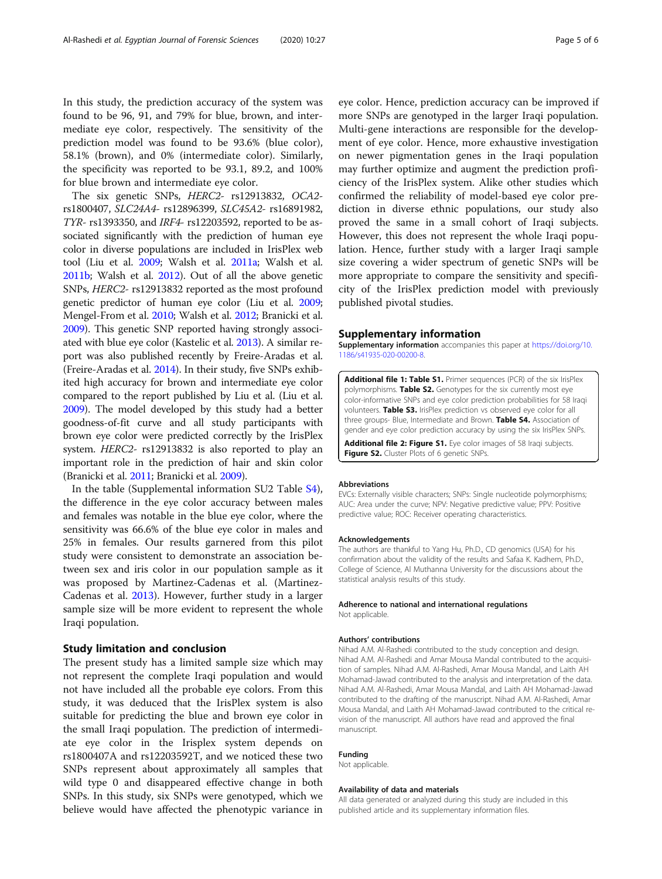<span id="page-4-0"></span>In this study, the prediction accuracy of the system was found to be 96, 91, and 79% for blue, brown, and intermediate eye color, respectively. The sensitivity of the prediction model was found to be 93.6% (blue color), 58.1% (brown), and 0% (intermediate color). Similarly, the specificity was reported to be 93.1, 89.2, and 100% for blue brown and intermediate eye color.

The six genetic SNPs, HERC2- rs12913832, OCA2 rs1800407, SLC24A4- rs12896399, SLC45A2- rs16891982, TYR- rs1393350, and IRF4- rs12203592, reported to be associated significantly with the prediction of human eye color in diverse populations are included in IrisPlex web tool (Liu et al. [2009](#page-5-0); Walsh et al. [2011a;](#page-5-0) Walsh et al. [2011b](#page-5-0); Walsh et al. [2012\)](#page-5-0). Out of all the above genetic SNPs, HERC2- rs12913832 reported as the most profound genetic predictor of human eye color (Liu et al. [2009](#page-5-0); Mengel-From et al. [2010](#page-5-0); Walsh et al. [2012;](#page-5-0) Branicki et al. [2009\)](#page-5-0). This genetic SNP reported having strongly associated with blue eye color (Kastelic et al. [2013](#page-5-0)). A similar report was also published recently by Freire-Aradas et al. (Freire-Aradas et al. [2014\)](#page-5-0). In their study, five SNPs exhibited high accuracy for brown and intermediate eye color compared to the report published by Liu et al. (Liu et al. [2009\)](#page-5-0). The model developed by this study had a better goodness-of-fit curve and all study participants with brown eye color were predicted correctly by the IrisPlex system. HERC2- rs12913832 is also reported to play an important role in the prediction of hair and skin color (Branicki et al. [2011](#page-5-0); Branicki et al. [2009](#page-5-0)).

In the table (Supplemental information SU2 Table S4), the difference in the eye color accuracy between males and females was notable in the blue eye color, where the sensitivity was 66.6% of the blue eye color in males and 25% in females. Our results garnered from this pilot study were consistent to demonstrate an association between sex and iris color in our population sample as it was proposed by Martinez-Cadenas et al. (Martinez-Cadenas et al. [2013](#page-5-0)). However, further study in a larger sample size will be more evident to represent the whole Iraqi population.

#### Study limitation and conclusion

The present study has a limited sample size which may not represent the complete Iraqi population and would not have included all the probable eye colors. From this study, it was deduced that the IrisPlex system is also suitable for predicting the blue and brown eye color in the small Iraqi population. The prediction of intermediate eye color in the Irisplex system depends on rs1800407A and rs12203592T, and we noticed these two SNPs represent about approximately all samples that wild type 0 and disappeared effective change in both SNPs. In this study, six SNPs were genotyped, which we believe would have affected the phenotypic variance in

eye color. Hence, prediction accuracy can be improved if more SNPs are genotyped in the larger Iraqi population. Multi-gene interactions are responsible for the development of eye color. Hence, more exhaustive investigation on newer pigmentation genes in the Iraqi population may further optimize and augment the prediction proficiency of the IrisPlex system. Alike other studies which confirmed the reliability of model-based eye color prediction in diverse ethnic populations, our study also proved the same in a small cohort of Iraqi subjects. However, this does not represent the whole Iraqi population. Hence, further study with a larger Iraqi sample size covering a wider spectrum of genetic SNPs will be more appropriate to compare the sensitivity and specificity of the IrisPlex prediction model with previously published pivotal studies.

#### Supplementary information

Supplementary information accompanies this paper at [https://doi.org/10.](https://doi.org/10.1186/s41935-020-00200-8) [1186/s41935-020-00200-8](https://doi.org/10.1186/s41935-020-00200-8).

Additional file 1: Table S1. Primer sequences (PCR) of the six IrisPlex polymorphisms. Table S2. Genotypes for the six currently most eye color-informative SNPs and eye color prediction probabilities for 58 Iraqi volunteers. Table S3. IrisPlex prediction vs observed eye color for all three groups- Blue, Intermediate and Brown. Table S4. Association of gender and eye color prediction accuracy by using the six IrisPlex SNPs.

Additional file 2: Figure S1. Eye color images of 58 Iraqi subjects. Figure S2. Cluster Plots of 6 genetic SNPs.

#### Abbreviations

EVCs: Externally visible characters; SNPs: Single nucleotide polymorphisms; AUC: Area under the curve; NPV: Negative predictive value; PPV: Positive predictive value; ROC: Receiver operating characteristics.

#### Acknowledgements

The authors are thankful to Yang Hu, Ph.D., CD genomics (USA) for his confirmation about the validity of the results and Safaa K. Kadhem, Ph.D., College of Science, Al Muthanna University for the discussions about the statistical analysis results of this study.

#### Adherence to national and international regulations Not applicable.

#### Authors' contributions

Nihad A.M. Al-Rashedi contributed to the study conception and design. Nihad A.M. Al-Rashedi and Amar Mousa Mandal contributed to the acquisition of samples. Nihad A.M. Al-Rashedi, Amar Mousa Mandal, and Laith AH Mohamad-Jawad contributed to the analysis and interpretation of the data. Nihad A.M. Al-Rashedi, Amar Mousa Mandal, and Laith AH Mohamad-Jawad contributed to the drafting of the manuscript. Nihad A.M. Al-Rashedi, Amar Mousa Mandal, and Laith AH Mohamad-Jawad contributed to the critical revision of the manuscript. All authors have read and approved the final manuscript.

#### Funding

Not applicable.

#### Availability of data and materials

All data generated or analyzed during this study are included in this published article and its supplementary information files.